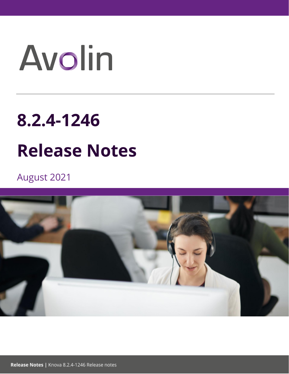# Avolin

# **8.2.4-1246**

# **Release Notes**

August 2021

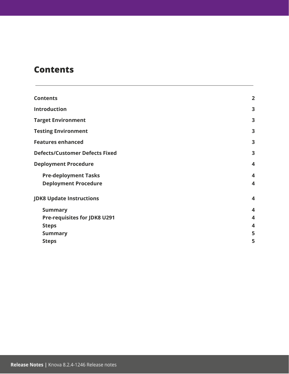### <span id="page-1-0"></span>**Contents**

| <b>Contents</b>                                            |        |
|------------------------------------------------------------|--------|
| <b>Introduction</b>                                        |        |
| <b>Target Environment</b>                                  |        |
| <b>Testing Environment</b>                                 |        |
| <b>Features enhanced</b><br>3                              |        |
| <b>Defects/Customer Defects Fixed</b>                      |        |
| <b>Deployment Procedure</b>                                | 4      |
| <b>Pre-deployment Tasks</b><br><b>Deployment Procedure</b> | 4<br>4 |
| <b>JDK8 Update Instructions</b>                            |        |
| <b>Summary</b>                                             | 4      |
| <b>Pre-requisites for JDK8 U291</b>                        | 4      |
| <b>Steps</b>                                               | 4      |
| <b>Summary</b>                                             | 5      |
| <b>Steps</b>                                               | 5      |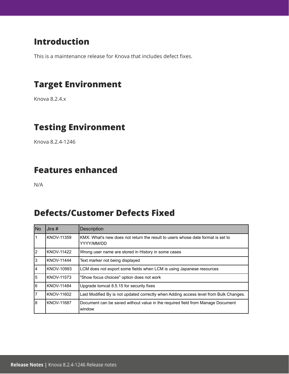# <span id="page-2-0"></span>**Introduction**

<span id="page-2-1"></span>This is a maintenance release for Knova that includes defect fixes.

# **Target Environment**

<span id="page-2-2"></span>Knova 8.2.4.x

# **Testing Environment**

<span id="page-2-3"></span>Knova 8.2.4-1246

### **Features enhanced**

<span id="page-2-4"></span>N/A

# **Defects/Customer Defects Fixed**

| No | Jira $#$          | Description                                                                                   |
|----|-------------------|-----------------------------------------------------------------------------------------------|
| 1  | KNOV-11359        | KMX: What's new does not return the result to users whose date format is set to<br>YYYY/MM/DD |
| I2 | <b>KNOV-11422</b> | Wrong user name are stored in History in some cases                                           |
| Iз | <b>KNOV-11444</b> | Text marker not being displayed                                                               |
| 4  | KNOV-10993        | LCM does not export some fields when LCM is using Japanese resources                          |
| 5  | KNOV-11573        | "Show focus choices" option does not work                                                     |
| l6 | KNOV-11484        | Upgrade tomcat 8.5.15 for security fixes                                                      |
| 17 | KNOV-11602        | Last Modified By is not updated correctly when Adding access level from Bulk Changes.         |
| 8  | KNOV-11687        | Document can be saved without value in the required field from Manage Document<br>window      |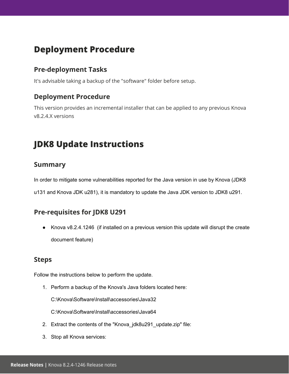## <span id="page-3-0"></span>**Deployment Procedure**

#### <span id="page-3-1"></span>**Pre-deployment Tasks**

It's advisable taking a backup of the "software" folder before setup.

#### <span id="page-3-2"></span>**Deployment Procedure**

This version provides an incremental installer that can be applied to any previous Knova v8.2.4.X versions

# <span id="page-3-3"></span>**JDK8 Update Instructions**

#### <span id="page-3-4"></span>**Summary**

In order to mitigate some vulnerabilities reported for the Java version in use by Knova (JDK8

u131 and Knova JDK u281), it is mandatory to update the Java JDK version to JDK8 u291.

#### <span id="page-3-5"></span>**Pre-requisites for JDK8 U291**

● Knova v8.2.4.1246 (if installed on a previous version this update will disrupt the create document feature)

#### <span id="page-3-6"></span>**Steps**

Follow the instructions below to perform the update.

1. Perform a backup of the Knova's Java folders located here:

C:\Knova\Software\Install\accessories\Java32

C:\Knova\Software\Install\accessories\Java64

- 2. Extract the contents of the "Knova\_jdk8u291\_update.zip" file:
- 3. Stop all Knova services: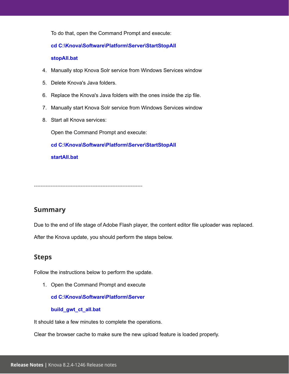To do that, open the Command Prompt and execute:

#### **cd C:\Knova\Software\Platform\Server\StartStopAll**

#### **stopAll.bat**

- 4. Manually stop Knova Solr service from Windows Services window
- 5. Delete Knova's Java folders.
- 6. Replace the Knova's Java folders with the ones inside the zip file.
- 7. Manually start Knova Solr service from Windows Services window
- 8. Start all Knova services:

Open the Command Prompt and execute:

**cd C:\Knova\Software\Platform\Server\StartStopAll**

**startAll.bat**

-----------------------------------------------------------------

#### <span id="page-4-0"></span>**Summary**

Due to the end of life stage of Adobe Flash player, the content editor file uploader was replaced.

After the Knova update, you should perform the steps below.

#### <span id="page-4-1"></span>**Steps**

Follow the instructions below to perform the update.

1. Open the Command Prompt and execute

**cd C:\Knova\Software\Platform\Server**

**build\_gwt\_ct\_all.bat**

It should take a few minutes to complete the operations.

Clear the browser cache to make sure the new upload feature is loaded properly.